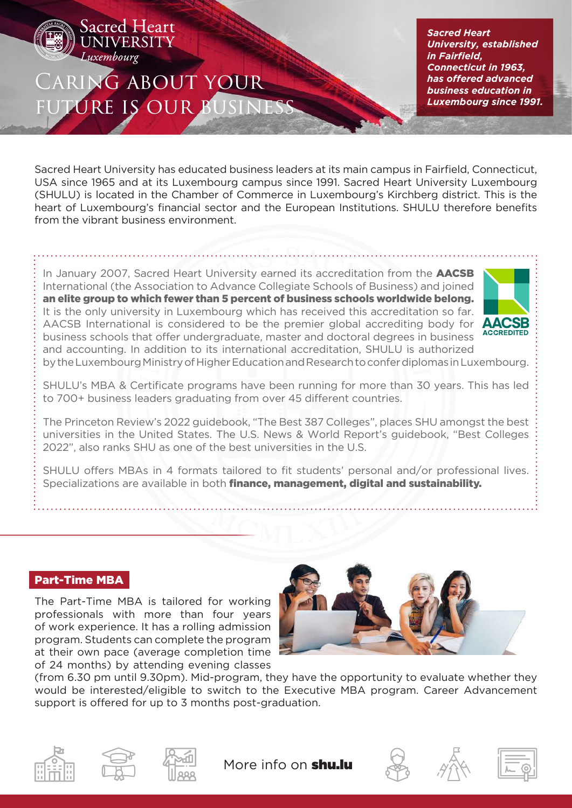

Sacred Heart **JIVERSITY** 

*Sacred Heart University, established in Fairfield, Connecticut in 1963, has offered advanced business education in Luxembourg since 1991.* 

Sacred Heart University has educated business leaders at its main campus in Fairfield, Connecticut, USA since 1965 and at its Luxembourg campus since 1991. Sacred Heart University Luxembourg (SHULU) is located in the Chamber of Commerce in Luxembourg's Kirchberg district. This is the heart of Luxembourg's financial sector and the European Institutions. SHULU therefore benefits from the vibrant business environment.

In January 2007, Sacred Heart University earned its accreditation from the **AACSB** International (the Association to Advance Collegiate Schools of Business) and joined an elite group to which fewer than 5 percent of business schools worldwide belong. It is the only university in Luxembourg which has received this accreditation so far. AACSB International is considered to be the premier global accrediting body for business schools that offer undergraduate, master and doctoral degrees in business and accounting. In addition to its international accreditation, SHULU is authorized



by the Luxembourg Ministry of Higher Education and Research to confer diplomas in Luxembourg.

SHULU's MBA & Certificate programs have been running for more than 30 years. This has led to 700+ business leaders graduating from over 45 different countries.

The Princeton Review's 2022 guidebook, "The Best 387 Colleges", places SHU amongst the best universities in the United States. The U.S. News & World Report's guidebook, "Best Colleges 2022", also ranks SHU as one of the best universities in the U.S.

SHULU offers MBAs in 4 formats tailored to fit students' personal and/or professional lives. Specializations are available in both **finance, management, digital and sustainability.** 

## Part-Time MBA

The Part-Time MBA is tailored for working professionals with more than four years of work experience. It has a rolling admission program. Students can complete the program at their own pace (average completion time of 24 months) by attending evening classes



(from 6.30 pm until 9.30pm). Mid-program, they have the opportunity to evaluate whether they would be interested/eligible to switch to the Executive MBA program. Career Advancement support is offered for up to 3 months post-graduation.





More info on **shu.lu**